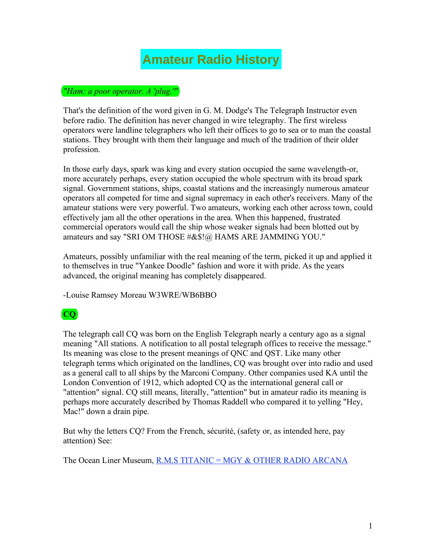## **Amateur Radio History**

## *"Ham: a poor operator. A 'plug.'"*

That's the definition of the word given in G. M. Dodge's The Telegraph Instructor even before radio. The definition has never changed in wire telegraphy. The first wireless operators were landline telegraphers who left their offices to go to sea or to man the coastal stations. They brought with them their language and much of the tradition of their older profession.

In those early days, spark was king and every station occupied the same wavelength-or, more accurately perhaps, every station occupied the whole spectrum with its broad spark signal. Government stations, ships, coastal stations and the increasingly numerous amateur operators all competed for time and signal supremacy in each other's receivers. Many of the amateur stations were very powerful. Two amateurs, working each other across town, could effectively jam all the other operations in the area. When this happened, frustrated commercial operators would call the ship whose weaker signals had been blotted out by amateurs and say "SRI OM THOSE #&\$!@ HAMS ARE JAMMING YOU."

Amateurs, possibly unfamiliar with the real meaning of the term, picked it up and applied it to themselves in true "Yankee Doodle" fashion and wore it with pride. As the years advanced, the original meaning has completely disappeared.

-Louise Ramsey Moreau W3WRE/WB6BBO

## **CQ**

The telegraph call CQ was born on the English Telegraph nearly a century ago as a signal meaning "All stations. A notification to all postal telegraph offices to receive the message." Its meaning was close to the present meanings of QNC and QST. Like many other telegraph terms which originated on the landlines, CQ was brought over into radio and used as a general call to all ships by the Marconi Company. Other companies used KA until the London Convention of 1912, which adopted CQ as the international general call or "attention" signal. CQ still means, literally, "attention" but in amateur radio its meaning is perhaps more accurately described by Thomas Raddell who compared it to yelling "Hey, Mac!" down a drain pipe.

But why the letters CQ? From the French, sécurité, (safety or, as intended here, pay attention) See:

The Ocean Liner Museum, R.M.S TITANIC = MGY & OTHER RADIO ARCANA